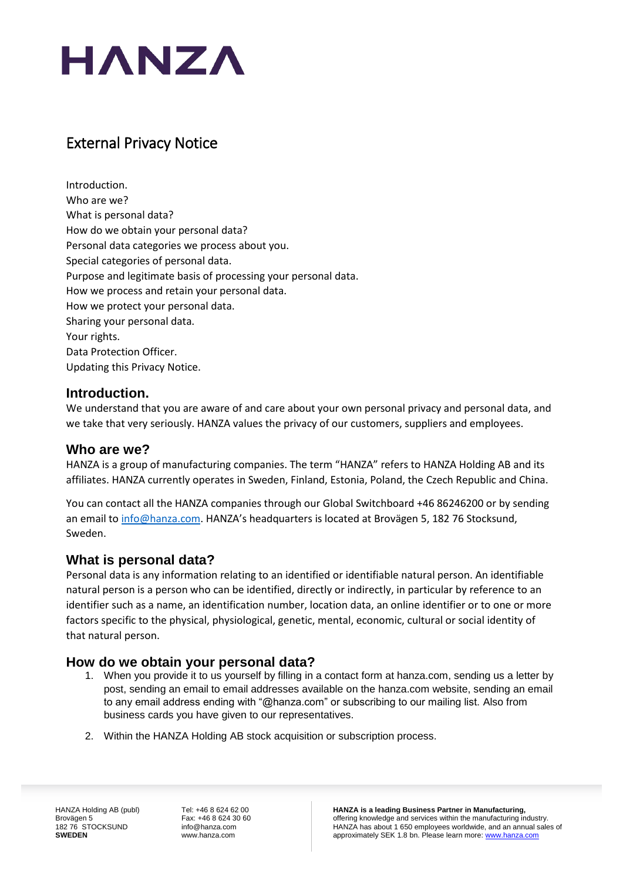

# External Privacy Notice

[Introduction.](#page-0-0) [Who](#page-0-1) are we? What is [personal](#page-0-2) data? How do we obtain your [personal](#page-0-3) data? Personal data [categories](#page-1-0) we process about you. Special [categories](#page-1-1) of personal data. Purpose and legitimate basis of [processing](#page-2-0) your personal data. How we process and retain your [personal](#page-2-1) data. How we protect your [personal](#page-3-0) data. Sharing your [personal](#page-3-1) data. Your [rights.](#page-3-2) Data [Protection](#page-4-0) Officer. [Updating](#page-4-1) this Privacy Notice.

# <span id="page-0-0"></span>**Introduction.**

We understand that you are aware of and care about your own personal privacy and personal data, and we take that very seriously. HANZA values the privacy of our customers, suppliers and employees.

# <span id="page-0-1"></span>**Who are we?**

HANZA is a group of manufacturing companies. The term "HANZA" refers to HANZA Holding AB and its affiliates. HANZA currently operates in Sweden, Finland, Estonia, Poland, the Czech Republic and China.

You can contact all the HANZA companies through our Global Switchboard +46 86246200 or by sending an email to [info@hanza.com.](mailto:info@hanza.com) HANZA's headquarters is located at Brovägen 5, 182 76 Stocksund, Sweden.

# <span id="page-0-2"></span>**What is personal data?**

Personal data is any information relating to an identified or identifiable natural person. An identifiable natural person is a person who can be identified, directly or indirectly, in particular by reference to an identifier such as a name, an identification number, location data, an online identifier or to one or more factors specific to the physical, physiological, genetic, mental, economic, cultural or social identity of that natural person.

# <span id="page-0-3"></span>**How do we obtain your personal data?**

- 1. When you provide it to us yourself by filling in a contact form at hanza.com, sending us a letter by post, sending an email to email addresses available on the hanza.com website, sending an email to any email address ending with "@hanza.com" or subscribing to our mailing list. Also from business cards you have given to our representatives.
- 2. Within the HANZA Holding AB stock acquisition or subscription process.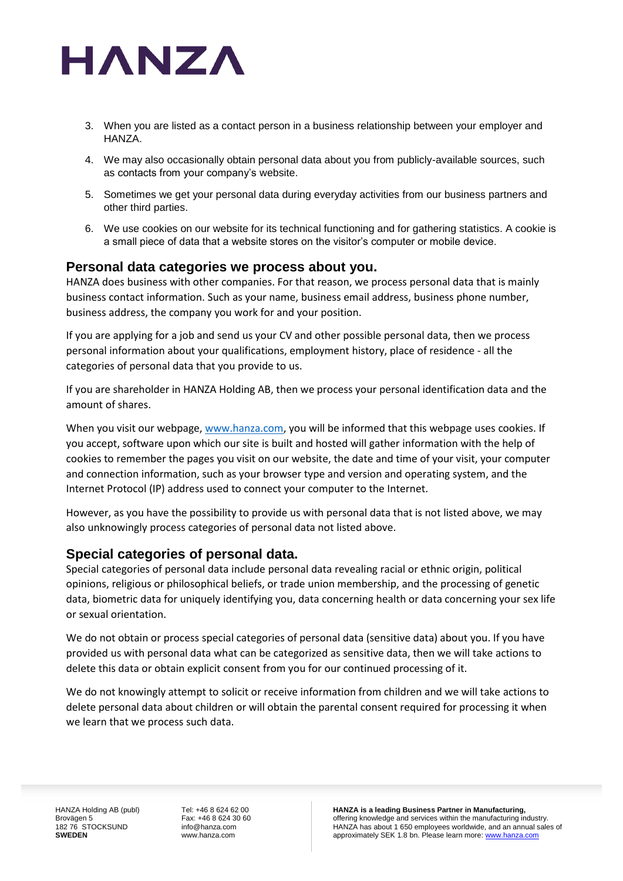

- 3. When you are listed as a contact person in a business relationship between your employer and HANZA.
- 4. We may also occasionally obtain personal data about you from publicly-available sources, such as contacts from your company's website.
- 5. Sometimes we get your personal data during everyday activities from our business partners and other third parties.
- 6. We use cookies on our website for its technical functioning and for gathering statistics. A cookie is a small piece of data that a website stores on the visitor's computer or mobile device.

# <span id="page-1-0"></span>**Personal data categories we process about you.**

HANZA does business with other companies. For that reason, we process personal data that is mainly business contact information. Such as your name, business email address, business phone number, business address, the company you work for and your position.

If you are applying for a job and send us your CV and other possible personal data, then we process personal information about your qualifications, employment history, place of residence - all the categories of personal data that you provide to us.

If you are shareholder in HANZA Holding AB, then we process your personal identification data and the amount of shares.

When you visit our webpage, [www.hanza.com,](http://www.hanza.com/) you will be informed that this webpage uses cookies. If you accept, software upon which our site is built and hosted will gather information with the help of cookies to remember the pages you visit on our website, the date and time of your visit, your computer and connection information, such as your browser type and version and operating system, and the Internet Protocol (IP) address used to connect your computer to the Internet.

However, as you have the possibility to provide us with personal data that is not listed above, we may also unknowingly process categories of personal data not listed above.

# <span id="page-1-1"></span>**Special categories of personal data.**

Special categories of personal data include personal data revealing racial or ethnic origin, political opinions, religious or philosophical beliefs, or trade union membership, and the processing of genetic data, biometric data for uniquely identifying you, data concerning health or data concerning your sex life or sexual orientation.

We do not obtain or process special categories of personal data (sensitive data) about you. If you have provided us with personal data what can be categorized as sensitive data, then we will take actions to delete this data or obtain explicit consent from you for our continued processing of it.

We do not knowingly attempt to solicit or receive information from children and we will take actions to delete personal data about children or will obtain the parental consent required for processing it when we learn that we process such data.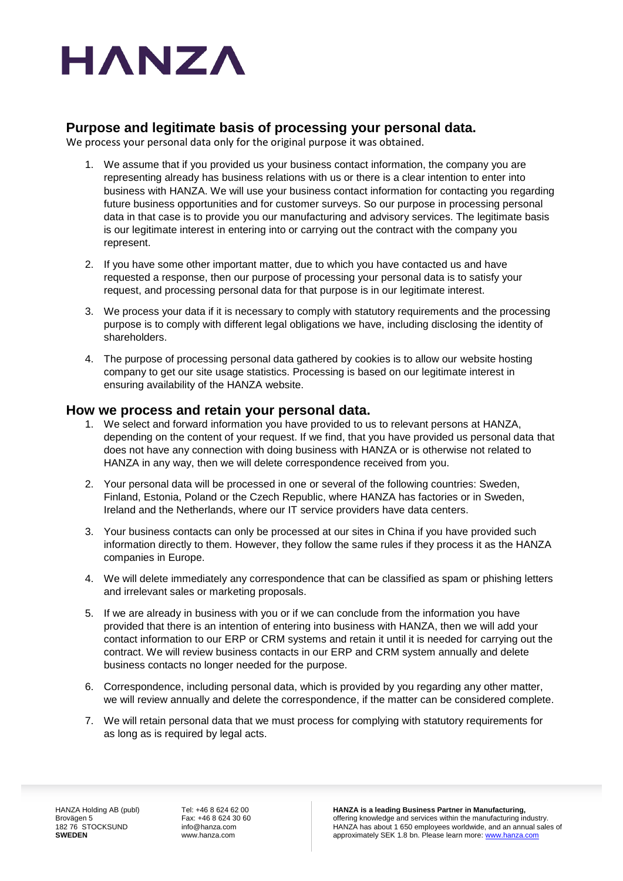

# <span id="page-2-0"></span>**Purpose and legitimate basis of processing your personal data.**

We process your personal data only for the original purpose it was obtained.

- 1. We assume that if you provided us your business contact information, the company you are representing already has business relations with us or there is a clear intention to enter into business with HANZA. We will use your business contact information for contacting you regarding future business opportunities and for customer surveys. So our purpose in processing personal data in that case is to provide you our manufacturing and advisory services. The legitimate basis is our legitimate interest in entering into or carrying out the contract with the company you represent.
- 2. If you have some other important matter, due to which you have contacted us and have requested a response, then our purpose of processing your personal data is to satisfy your request, and processing personal data for that purpose is in our legitimate interest.
- 3. We process your data if it is necessary to comply with statutory requirements and the processing purpose is to comply with different legal obligations we have, including disclosing the identity of shareholders.
- 4. The purpose of processing personal data gathered by cookies is to allow our website hosting company to get our site usage statistics. Processing is based on our legitimate interest in ensuring availability of the HANZA website.

#### <span id="page-2-1"></span>**How we process and retain your personal data.**

- 1. We select and forward information you have provided to us to relevant persons at HANZA, depending on the content of your request. If we find, that you have provided us personal data that does not have any connection with doing business with HANZA or is otherwise not related to HANZA in any way, then we will delete correspondence received from you.
- 2. Your personal data will be processed in one or several of the following countries: Sweden, Finland, Estonia, Poland or the Czech Republic, where HANZA has factories or in Sweden, Ireland and the Netherlands, where our IT service providers have data centers.
- 3. Your business contacts can only be processed at our sites in China if you have provided such information directly to them. However, they follow the same rules if they process it as the HANZA companies in Europe.
- 4. We will delete immediately any correspondence that can be classified as spam or phishing letters and irrelevant sales or marketing proposals.
- 5. If we are already in business with you or if we can conclude from the information you have provided that there is an intention of entering into business with HANZA, then we will add your contact information to our ERP or CRM systems and retain it until it is needed for carrying out the contract. We will review business contacts in our ERP and CRM system annually and delete business contacts no longer needed for the purpose.
- 6. Correspondence, including personal data, which is provided by you regarding any other matter, we will review annually and delete the correspondence, if the matter can be considered complete.
- 7. We will retain personal data that we must process for complying with statutory requirements for as long as is required by legal acts.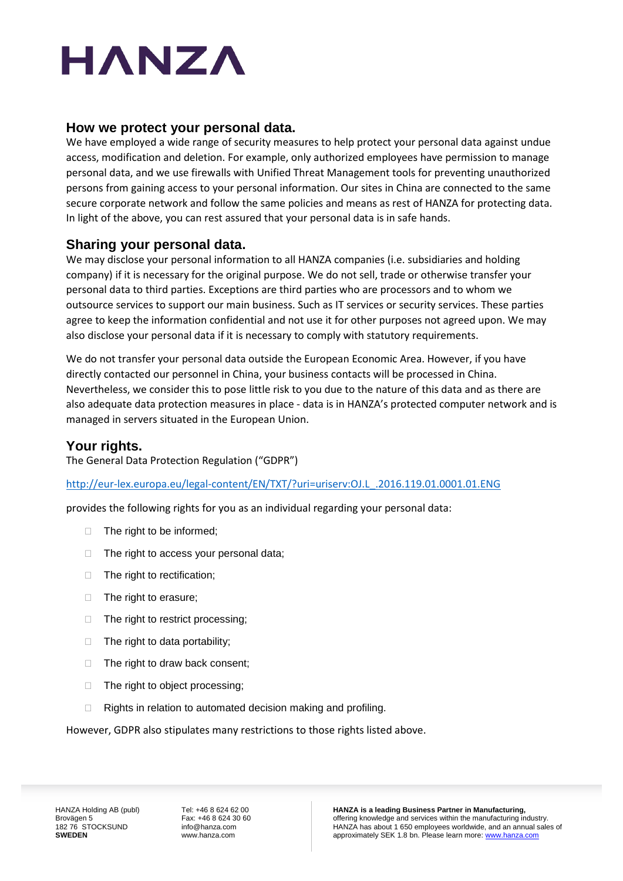# HANZA

# <span id="page-3-0"></span>**How we protect your personal data.**

We have employed a wide range of security measures to help protect your personal data against undue access, modification and deletion. For example, only authorized employees have permission to manage personal data, and we use firewalls with Unified Threat Management tools for preventing unauthorized persons from gaining access to your personal information. Our sites in China are connected to the same secure corporate network and follow the same policies and means as rest of HANZA for protecting data. In light of the above, you can rest assured that your personal data is in safe hands.

# <span id="page-3-1"></span>**Sharing your personal data.**

We may disclose your personal information to all HANZA companies (i.e. subsidiaries and holding company) if it is necessary for the original purpose. We do not sell, trade or otherwise transfer your personal data to third parties. Exceptions are third parties who are processors and to whom we outsource services to support our main business. Such as IT services or security services. These parties agree to keep the information confidential and not use it for other purposes not agreed upon. We may also disclose your personal data if it is necessary to comply with statutory requirements.

We do not transfer your personal data outside the European Economic Area. However, if you have directly contacted our personnel in China, your business contacts will be processed in China. Nevertheless, we consider this to pose little risk to you due to the nature of this data and as there are also adequate data protection measures in place - data is in HANZA's protected computer network and is managed in servers situated in the European Union.

# <span id="page-3-2"></span>**Your rights.**

The General Data Protection Regulation ("GDPR")

[http://eur-lex.europa.eu/legal-content/EN/TXT/?uri=uriserv:OJ.L\\_.2016.119.01.0001.01.ENG](http://eur-lex.europa.eu/legal-content/EN/TXT/?uri=uriserv:OJ.L_.2016.119.01.0001.01.ENG)

provides the following rights for you as an individual regarding your personal data:

- □ The right to be informed;
- $\Box$  The right to access your personal data;
- □ The right to rectification;
- $\Box$  The right to erasure;
- $\Box$  The right to restrict processing;
- $\Box$  The right to data portability;
- $\Box$  The right to draw back consent;
- □ The right to object processing;
- $\Box$  Rights in relation to automated decision making and profiling.

However, GDPR also stipulates many restrictions to those rights listed above.